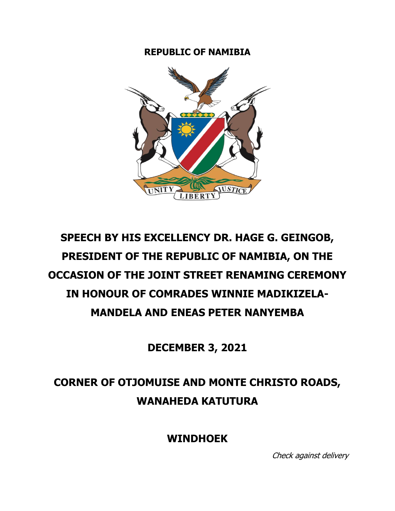## **REPUBLIC OF NAMIBIA**



## **SPEECH BY HIS EXCELLENCY DR. HAGE G. GEINGOB, PRESIDENT OF THE REPUBLIC OF NAMIBIA, ON THE OCCASION OF THE JOINT STREET RENAMING CEREMONY IN HONOUR OF COMRADES WINNIE MADIKIZELA-MANDELA AND ENEAS PETER NANYEMBA**

**DECEMBER 3, 2021**

## **CORNER OF OTJOMUISE AND MONTE CHRISTO ROADS, WANAHEDA KATUTURA**

**WINDHOEK**

Check against delivery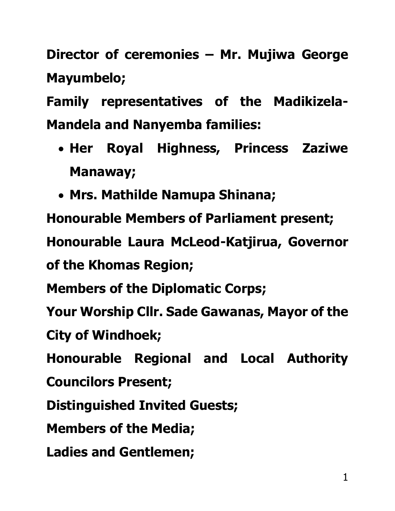**Director of ceremonies – Mr. Mujiwa George Mayumbelo;**

**Family representatives of the Madikizela-Mandela and Nanyemba families:**

- **Her Royal Highness, Princess Zaziwe Manaway;**
- **Mrs. Mathilde Namupa Shinana;**

**Honourable Members of Parliament present; Honourable Laura McLeod-Katjirua, Governor of the Khomas Region;**

**Members of the Diplomatic Corps;**

**Your Worship Cllr. Sade Gawanas, Mayor of the** 

**City of Windhoek;**

**Honourable Regional and Local Authority** 

**Councilors Present;**

**Distinguished Invited Guests;**

**Members of the Media;** 

**Ladies and Gentlemen;**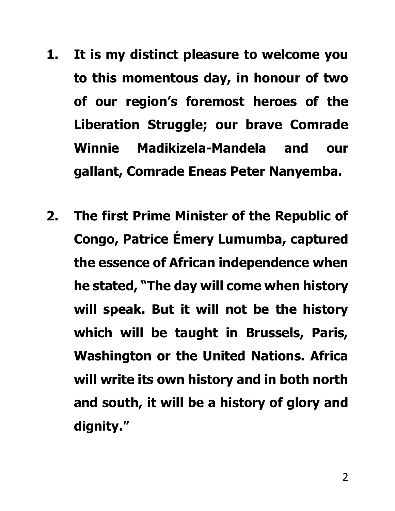- **1. It is my distinct pleasure to welcome you to this momentous day, in honour of two of our region's foremost heroes of the Liberation Struggle; our brave Comrade Winnie Madikizela-Mandela and our gallant, Comrade Eneas Peter Nanyemba.**
- **2. The first Prime Minister of the Republic of Congo, Patrice Émery Lumumba, captured the essence of African independence when he stated, "The day will come when history will speak. But it will not be the history which will be taught in Brussels, Paris, Washington or the United Nations. Africa will write its own history and in both north and south, it will be a history of glory and dignity."**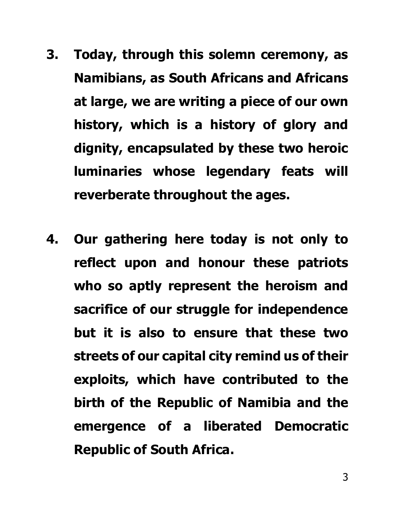- **3. Today, through this solemn ceremony, as Namibians, as South Africans and Africans at large, we are writing a piece of our own history, which is a history of glory and dignity, encapsulated by these two heroic luminaries whose legendary feats will reverberate throughout the ages.**
- **4. Our gathering here today is not only to reflect upon and honour these patriots who so aptly represent the heroism and sacrifice of our struggle for independence but it is also to ensure that these two streets of our capital city remind us of their exploits, which have contributed to the birth of the Republic of Namibia and the emergence of a liberated Democratic Republic of South Africa.**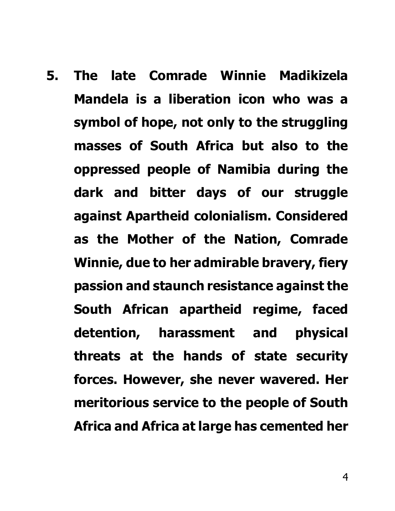**5. The late Comrade Winnie Madikizela Mandela is a liberation icon who was a symbol of hope, not only to the struggling masses of South Africa but also to the oppressed people of Namibia during the dark and bitter days of our struggle against Apartheid colonialism. Considered as the Mother of the Nation, Comrade Winnie, due to her admirable bravery, fiery passion and staunch resistance against the South African apartheid regime, faced detention, harassment and physical threats at the hands of state security forces. However, she never wavered. Her meritorious service to the people of South Africa and Africa at large has cemented her**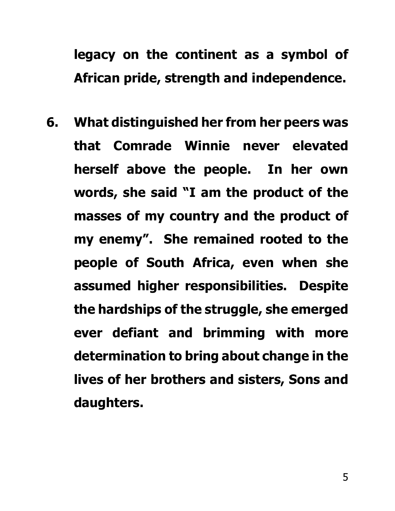## **legacy on the continent as a symbol of African pride, strength and independence.**

**6. What distinguished her from her peers was that Comrade Winnie never elevated herself above the people. In her own words, she said "I am the product of the masses of my country and the product of my enemy". She remained rooted to the people of South Africa, even when she assumed higher responsibilities. Despite the hardships of the struggle, she emerged ever defiant and brimming with more determination to bring about change in the lives of her brothers and sisters, Sons and daughters.**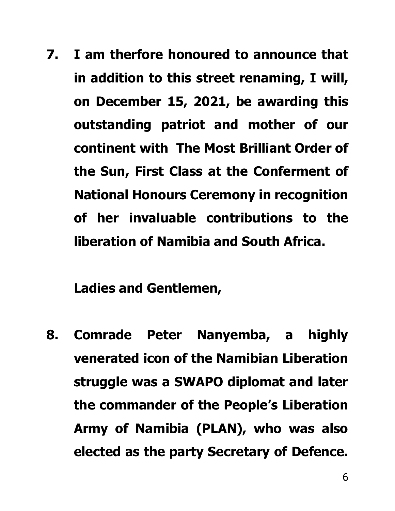**7. I am therfore honoured to announce that in addition to this street renaming, I will, on December 15, 2021, be awarding this outstanding patriot and mother of our continent with The Most Brilliant Order of the Sun, First Class at the Conferment of National Honours Ceremony in recognition of her invaluable contributions to the liberation of Namibia and South Africa.**

**Ladies and Gentlemen,**

**8. Comrade Peter Nanyemba, a highly venerated icon of the Namibian Liberation struggle was a SWAPO diplomat and later the commander of the People's Liberation Army of Namibia (PLAN), who was also elected as the party Secretary of Defence.**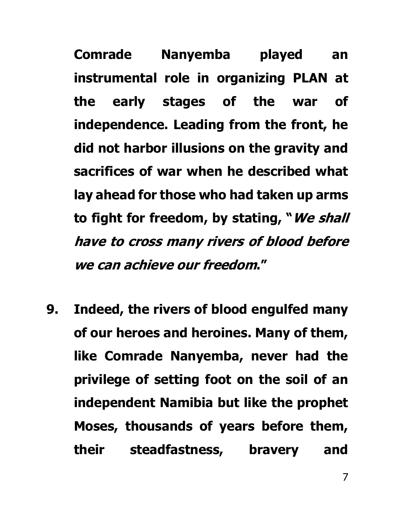**Comrade Nanyemba played an instrumental role in organizing PLAN at the early stages of the war of independence. Leading from the front, he did not harbor illusions on the gravity and sacrifices of war when he described what lay ahead for those who had taken up arms to fight for freedom, by stating, "We shall have to cross many rivers of blood before we can achieve our freedom."** 

**9. Indeed, the rivers of blood engulfed many of our heroes and heroines. Many of them, like Comrade Nanyemba, never had the privilege of setting foot on the soil of an independent Namibia but like the prophet Moses, thousands of years before them, their steadfastness, bravery and**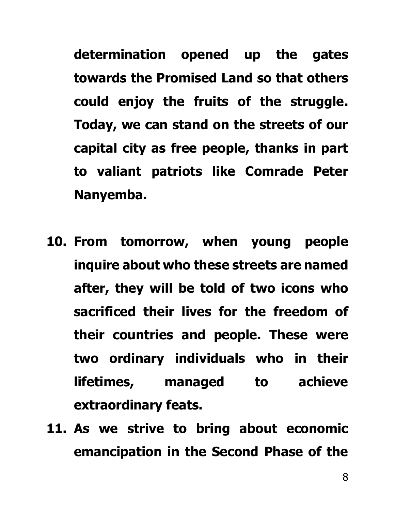**determination opened up the gates towards the Promised Land so that others could enjoy the fruits of the struggle. Today, we can stand on the streets of our capital city as free people, thanks in part to valiant patriots like Comrade Peter Nanyemba.**

- **10. From tomorrow, when young people inquire about who these streets are named after, they will be told of two icons who sacrificed their lives for the freedom of their countries and people. These were two ordinary individuals who in their lifetimes, managed to achieve extraordinary feats.**
- **11. As we strive to bring about economic emancipation in the Second Phase of the**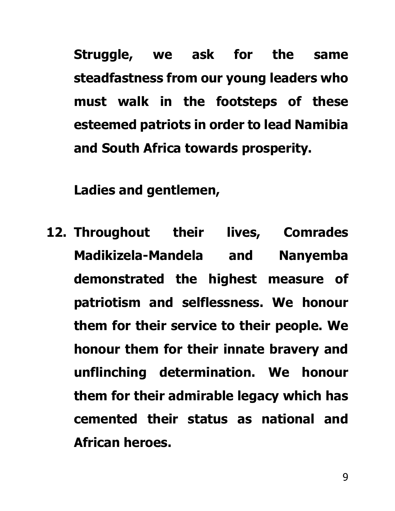**Struggle, we ask for the same steadfastness from our young leaders who must walk in the footsteps of these esteemed patriots in order to lead Namibia and South Africa towards prosperity.**

**Ladies and gentlemen,**

**12. Throughout their lives, Comrades Madikizela-Mandela and Nanyemba demonstrated the highest measure of patriotism and selflessness. We honour them for their service to their people. We honour them for their innate bravery and unflinching determination. We honour them for their admirable legacy which has cemented their status as national and African heroes.**